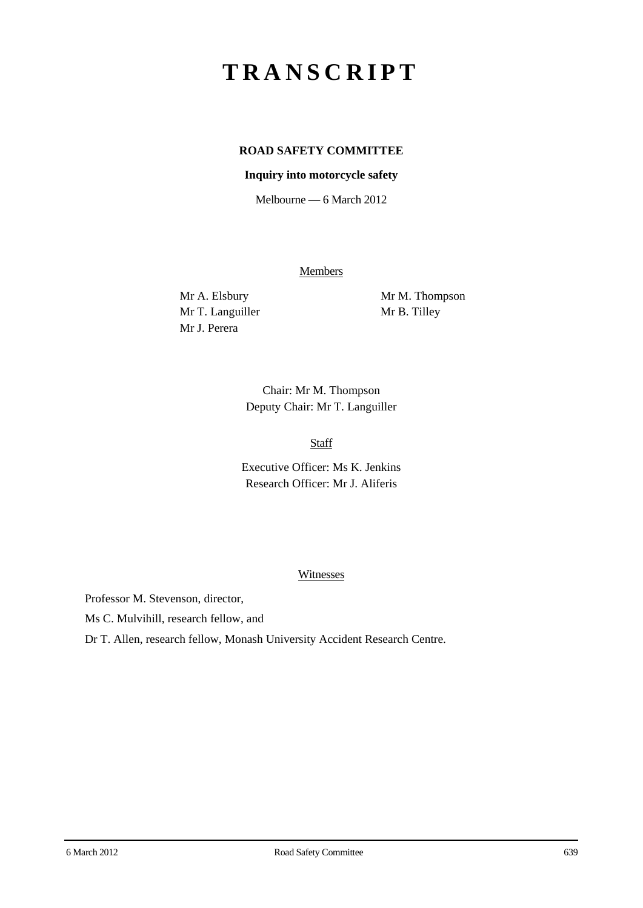# **TRANSCRIPT**

# **ROAD SAFETY COMMITTEE**

#### **Inquiry into motorcycle safety**

Melbourne — 6 March 2012

**Members** 

Mr T. Languiller Mr B. Tilley Mr J. Perera

Mr A. Elsbury Mr M. Thompson

Chair: Mr M. Thompson Deputy Chair: Mr T. Languiller

Staff

Executive Officer: Ms K. Jenkins Research Officer: Mr J. Aliferis

#### **Witnesses**

Professor M. Stevenson, director,

Ms C. Mulvihill, research fellow, and

Dr T. Allen, research fellow, Monash University Accident Research Centre.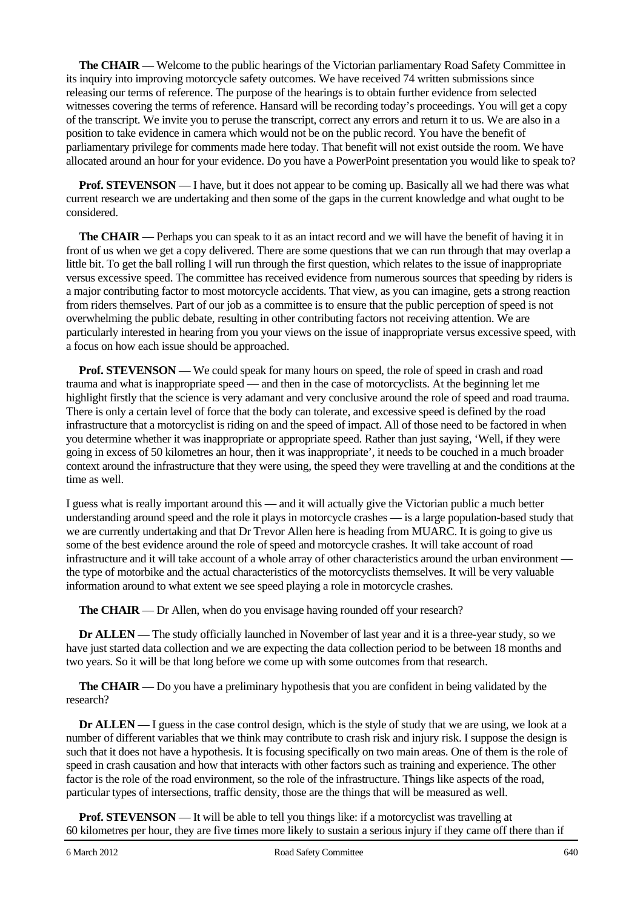**The CHAIR** — Welcome to the public hearings of the Victorian parliamentary Road Safety Committee in its inquiry into improving motorcycle safety outcomes. We have received 74 written submissions since releasing our terms of reference. The purpose of the hearings is to obtain further evidence from selected witnesses covering the terms of reference. Hansard will be recording today's proceedings. You will get a copy of the transcript. We invite you to peruse the transcript, correct any errors and return it to us. We are also in a position to take evidence in camera which would not be on the public record. You have the benefit of parliamentary privilege for comments made here today. That benefit will not exist outside the room. We have allocated around an hour for your evidence. Do you have a PowerPoint presentation you would like to speak to?

**Prof. STEVENSON** — I have, but it does not appear to be coming up. Basically all we had there was what current research we are undertaking and then some of the gaps in the current knowledge and what ought to be considered.

**The CHAIR** — Perhaps you can speak to it as an intact record and we will have the benefit of having it in front of us when we get a copy delivered. There are some questions that we can run through that may overlap a little bit. To get the ball rolling I will run through the first question, which relates to the issue of inappropriate versus excessive speed. The committee has received evidence from numerous sources that speeding by riders is a major contributing factor to most motorcycle accidents. That view, as you can imagine, gets a strong reaction from riders themselves. Part of our job as a committee is to ensure that the public perception of speed is not overwhelming the public debate, resulting in other contributing factors not receiving attention. We are particularly interested in hearing from you your views on the issue of inappropriate versus excessive speed, with a focus on how each issue should be approached.

**Prof. STEVENSON** — We could speak for many hours on speed, the role of speed in crash and road trauma and what is inappropriate speed — and then in the case of motorcyclists. At the beginning let me highlight firstly that the science is very adamant and very conclusive around the role of speed and road trauma. There is only a certain level of force that the body can tolerate, and excessive speed is defined by the road infrastructure that a motorcyclist is riding on and the speed of impact. All of those need to be factored in when you determine whether it was inappropriate or appropriate speed. Rather than just saying, 'Well, if they were going in excess of 50 kilometres an hour, then it was inappropriate', it needs to be couched in a much broader context around the infrastructure that they were using, the speed they were travelling at and the conditions at the time as well.

I guess what is really important around this — and it will actually give the Victorian public a much better understanding around speed and the role it plays in motorcycle crashes — is a large population-based study that we are currently undertaking and that Dr Trevor Allen here is heading from MUARC. It is going to give us some of the best evidence around the role of speed and motorcycle crashes. It will take account of road infrastructure and it will take account of a whole array of other characteristics around the urban environment the type of motorbike and the actual characteristics of the motorcyclists themselves. It will be very valuable information around to what extent we see speed playing a role in motorcycle crashes.

**The CHAIR** — Dr Allen, when do you envisage having rounded off your research?

**Dr ALLEN** — The study officially launched in November of last year and it is a three-year study, so we have just started data collection and we are expecting the data collection period to be between 18 months and two years. So it will be that long before we come up with some outcomes from that research.

**The CHAIR** — Do you have a preliminary hypothesis that you are confident in being validated by the research?

**Dr ALLEN** — I guess in the case control design, which is the style of study that we are using, we look at a number of different variables that we think may contribute to crash risk and injury risk. I suppose the design is such that it does not have a hypothesis. It is focusing specifically on two main areas. One of them is the role of speed in crash causation and how that interacts with other factors such as training and experience. The other factor is the role of the road environment, so the role of the infrastructure. Things like aspects of the road, particular types of intersections, traffic density, those are the things that will be measured as well.

**Prof. STEVENSON** — It will be able to tell you things like: if a motorcyclist was travelling at 60 kilometres per hour, they are five times more likely to sustain a serious injury if they came off there than if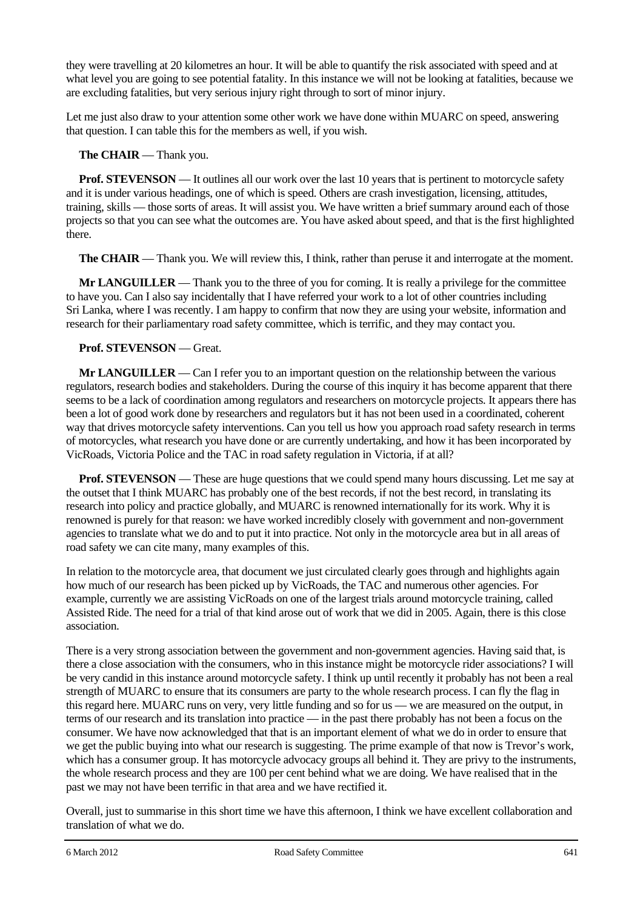they were travelling at 20 kilometres an hour. It will be able to quantify the risk associated with speed and at what level you are going to see potential fatality. In this instance we will not be looking at fatalities, because we are excluding fatalities, but very serious injury right through to sort of minor injury.

Let me just also draw to your attention some other work we have done within MUARC on speed, answering that question. I can table this for the members as well, if you wish.

## **The CHAIR** — Thank you.

**Prof. STEVENSON** — It outlines all our work over the last 10 years that is pertinent to motorcycle safety and it is under various headings, one of which is speed. Others are crash investigation, licensing, attitudes, training, skills — those sorts of areas. It will assist you. We have written a brief summary around each of those projects so that you can see what the outcomes are. You have asked about speed, and that is the first highlighted there.

**The CHAIR** — Thank you. We will review this, I think, rather than peruse it and interrogate at the moment.

**Mr LANGUILLER** — Thank you to the three of you for coming. It is really a privilege for the committee to have you. Can I also say incidentally that I have referred your work to a lot of other countries including Sri Lanka, where I was recently. I am happy to confirm that now they are using your website, information and research for their parliamentary road safety committee, which is terrific, and they may contact you.

## **Prof. STEVENSON** — Great.

**Mr LANGUILLER** — Can I refer you to an important question on the relationship between the various regulators, research bodies and stakeholders. During the course of this inquiry it has become apparent that there seems to be a lack of coordination among regulators and researchers on motorcycle projects. It appears there has been a lot of good work done by researchers and regulators but it has not been used in a coordinated, coherent way that drives motorcycle safety interventions. Can you tell us how you approach road safety research in terms of motorcycles, what research you have done or are currently undertaking, and how it has been incorporated by VicRoads, Victoria Police and the TAC in road safety regulation in Victoria, if at all?

**Prof. STEVENSON** — These are huge questions that we could spend many hours discussing. Let me say at the outset that I think MUARC has probably one of the best records, if not the best record, in translating its research into policy and practice globally, and MUARC is renowned internationally for its work. Why it is renowned is purely for that reason: we have worked incredibly closely with government and non-government agencies to translate what we do and to put it into practice. Not only in the motorcycle area but in all areas of road safety we can cite many, many examples of this.

In relation to the motorcycle area, that document we just circulated clearly goes through and highlights again how much of our research has been picked up by VicRoads, the TAC and numerous other agencies. For example, currently we are assisting VicRoads on one of the largest trials around motorcycle training, called Assisted Ride. The need for a trial of that kind arose out of work that we did in 2005. Again, there is this close association.

There is a very strong association between the government and non-government agencies. Having said that, is there a close association with the consumers, who in this instance might be motorcycle rider associations? I will be very candid in this instance around motorcycle safety. I think up until recently it probably has not been a real strength of MUARC to ensure that its consumers are party to the whole research process. I can fly the flag in this regard here. MUARC runs on very, very little funding and so for us — we are measured on the output, in terms of our research and its translation into practice — in the past there probably has not been a focus on the consumer. We have now acknowledged that that is an important element of what we do in order to ensure that we get the public buying into what our research is suggesting. The prime example of that now is Trevor's work, which has a consumer group. It has motorcycle advocacy groups all behind it. They are privy to the instruments, the whole research process and they are 100 per cent behind what we are doing. We have realised that in the past we may not have been terrific in that area and we have rectified it.

Overall, just to summarise in this short time we have this afternoon, I think we have excellent collaboration and translation of what we do.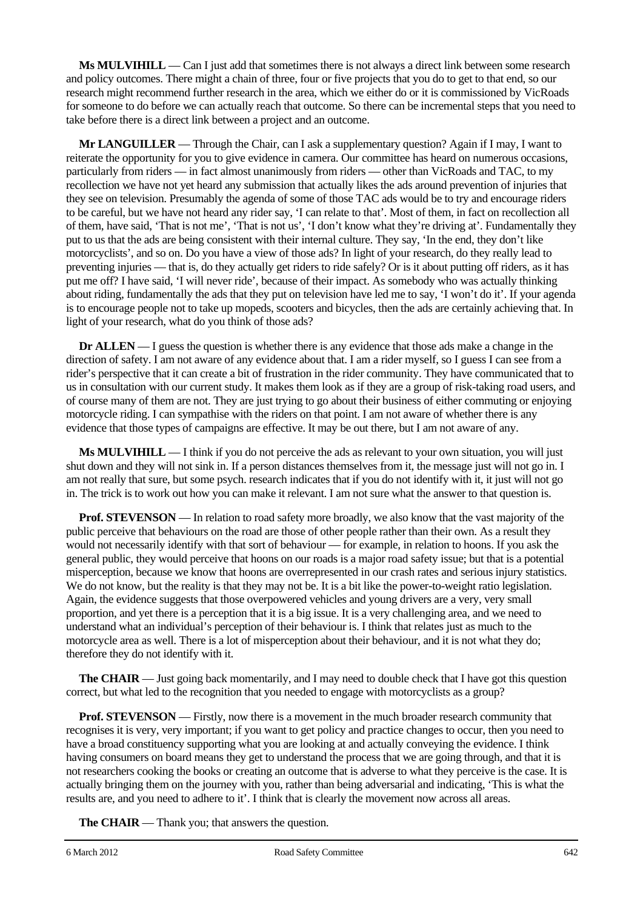**Ms MULVIHILL** — Can I just add that sometimes there is not always a direct link between some research and policy outcomes. There might a chain of three, four or five projects that you do to get to that end, so our research might recommend further research in the area, which we either do or it is commissioned by VicRoads for someone to do before we can actually reach that outcome. So there can be incremental steps that you need to take before there is a direct link between a project and an outcome.

**Mr LANGUILLER** — Through the Chair, can I ask a supplementary question? Again if I may, I want to reiterate the opportunity for you to give evidence in camera. Our committee has heard on numerous occasions, particularly from riders — in fact almost unanimously from riders — other than VicRoads and TAC, to my recollection we have not yet heard any submission that actually likes the ads around prevention of injuries that they see on television. Presumably the agenda of some of those TAC ads would be to try and encourage riders to be careful, but we have not heard any rider say, 'I can relate to that'. Most of them, in fact on recollection all of them, have said, 'That is not me', 'That is not us', 'I don't know what they're driving at'. Fundamentally they put to us that the ads are being consistent with their internal culture. They say, 'In the end, they don't like motorcyclists', and so on. Do you have a view of those ads? In light of your research, do they really lead to preventing injuries — that is, do they actually get riders to ride safely? Or is it about putting off riders, as it has put me off? I have said, 'I will never ride', because of their impact. As somebody who was actually thinking about riding, fundamentally the ads that they put on television have led me to say, 'I won't do it'. If your agenda is to encourage people not to take up mopeds, scooters and bicycles, then the ads are certainly achieving that. In light of your research, what do you think of those ads?

**Dr ALLEN** — I guess the question is whether there is any evidence that those ads make a change in the direction of safety. I am not aware of any evidence about that. I am a rider myself, so I guess I can see from a rider's perspective that it can create a bit of frustration in the rider community. They have communicated that to us in consultation with our current study. It makes them look as if they are a group of risk-taking road users, and of course many of them are not. They are just trying to go about their business of either commuting or enjoying motorcycle riding. I can sympathise with the riders on that point. I am not aware of whether there is any evidence that those types of campaigns are effective. It may be out there, but I am not aware of any.

**Ms MULVIHILL** — I think if you do not perceive the ads as relevant to your own situation, you will just shut down and they will not sink in. If a person distances themselves from it, the message just will not go in. I am not really that sure, but some psych. research indicates that if you do not identify with it, it just will not go in. The trick is to work out how you can make it relevant. I am not sure what the answer to that question is.

**Prof. STEVENSON** — In relation to road safety more broadly, we also know that the vast majority of the public perceive that behaviours on the road are those of other people rather than their own. As a result they would not necessarily identify with that sort of behaviour — for example, in relation to hoons. If you ask the general public, they would perceive that hoons on our roads is a major road safety issue; but that is a potential misperception, because we know that hoons are overrepresented in our crash rates and serious injury statistics. We do not know, but the reality is that they may not be. It is a bit like the power-to-weight ratio legislation. Again, the evidence suggests that those overpowered vehicles and young drivers are a very, very small proportion, and yet there is a perception that it is a big issue. It is a very challenging area, and we need to understand what an individual's perception of their behaviour is. I think that relates just as much to the motorcycle area as well. There is a lot of misperception about their behaviour, and it is not what they do; therefore they do not identify with it.

**The CHAIR** — Just going back momentarily, and I may need to double check that I have got this question correct, but what led to the recognition that you needed to engage with motorcyclists as a group?

**Prof. STEVENSON** — Firstly, now there is a movement in the much broader research community that recognises it is very, very important; if you want to get policy and practice changes to occur, then you need to have a broad constituency supporting what you are looking at and actually conveying the evidence. I think having consumers on board means they get to understand the process that we are going through, and that it is not researchers cooking the books or creating an outcome that is adverse to what they perceive is the case. It is actually bringing them on the journey with you, rather than being adversarial and indicating, 'This is what the results are, and you need to adhere to it'. I think that is clearly the movement now across all areas.

**The CHAIR** — Thank you; that answers the question.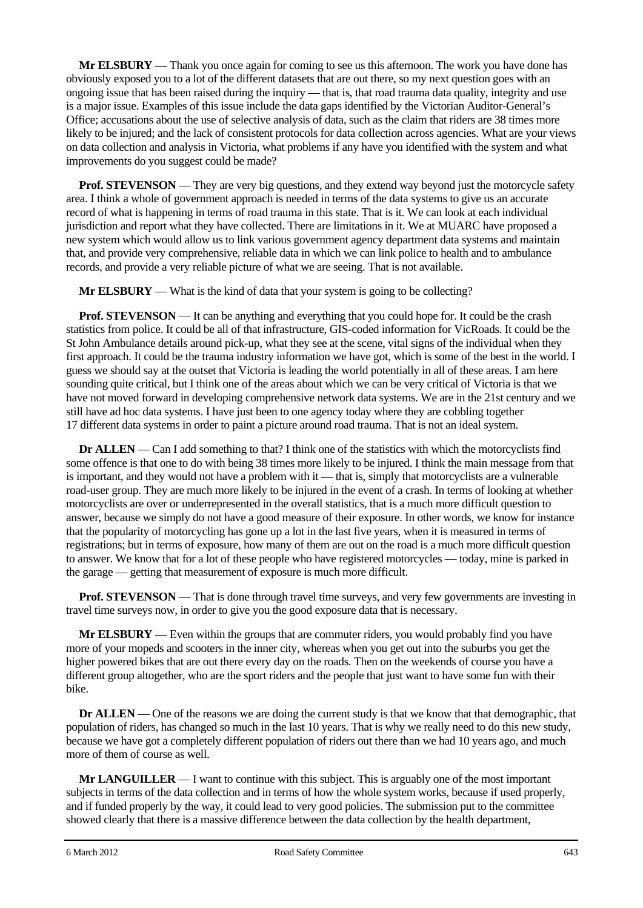**Mr ELSBURY** — Thank you once again for coming to see us this afternoon. The work you have done has obviously exposed you to a lot of the different datasets that are out there, so my next question goes with an ongoing issue that has been raised during the inquiry — that is, that road trauma data quality, integrity and use is a major issue. Examples of this issue include the data gaps identified by the Victorian Auditor-General's Office; accusations about the use of selective analysis of data, such as the claim that riders are 38 times more likely to be injured; and the lack of consistent protocols for data collection across agencies. What are your views on data collection and analysis in Victoria, what problems if any have you identified with the system and what improvements do you suggest could be made?

**Prof. STEVENSON** — They are very big questions, and they extend way beyond just the motorcycle safety area. I think a whole of government approach is needed in terms of the data systems to give us an accurate record of what is happening in terms of road trauma in this state. That is it. We can look at each individual jurisdiction and report what they have collected. There are limitations in it. We at MUARC have proposed a new system which would allow us to link various government agency department data systems and maintain that, and provide very comprehensive, reliable data in which we can link police to health and to ambulance records, and provide a very reliable picture of what we are seeing. That is not available.

**Mr ELSBURY** — What is the kind of data that your system is going to be collecting?

**Prof. STEVENSON** — It can be anything and everything that you could hope for. It could be the crash statistics from police. It could be all of that infrastructure, GIS-coded information for VicRoads. It could be the St John Ambulance details around pick-up, what they see at the scene, vital signs of the individual when they first approach. It could be the trauma industry information we have got, which is some of the best in the world. I guess we should say at the outset that Victoria is leading the world potentially in all of these areas. I am here sounding quite critical, but I think one of the areas about which we can be very critical of Victoria is that we have not moved forward in developing comprehensive network data systems. We are in the 21st century and we still have ad hoc data systems. I have just been to one agency today where they are cobbling together 17 different data systems in order to paint a picture around road trauma. That is not an ideal system.

**Dr ALLEN** — Can I add something to that? I think one of the statistics with which the motorcyclists find some offence is that one to do with being 38 times more likely to be injured. I think the main message from that is important, and they would not have a problem with it — that is, simply that motorcyclists are a vulnerable road-user group. They are much more likely to be injured in the event of a crash. In terms of looking at whether motorcyclists are over or underrepresented in the overall statistics, that is a much more difficult question to answer, because we simply do not have a good measure of their exposure. In other words, we know for instance that the popularity of motorcycling has gone up a lot in the last five years, when it is measured in terms of registrations; but in terms of exposure, how many of them are out on the road is a much more difficult question to answer. We know that for a lot of these people who have registered motorcycles — today, mine is parked in the garage — getting that measurement of exposure is much more difficult.

**Prof. STEVENSON** — That is done through travel time surveys, and very few governments are investing in travel time surveys now, in order to give you the good exposure data that is necessary.

**Mr ELSBURY** — Even within the groups that are commuter riders, you would probably find you have more of your mopeds and scooters in the inner city, whereas when you get out into the suburbs you get the higher powered bikes that are out there every day on the roads. Then on the weekends of course you have a different group altogether, who are the sport riders and the people that just want to have some fun with their bike.

**Dr ALLEN** — One of the reasons we are doing the current study is that we know that that demographic, that population of riders, has changed so much in the last 10 years. That is why we really need to do this new study, because we have got a completely different population of riders out there than we had 10 years ago, and much more of them of course as well.

**Mr LANGUILLER** — I want to continue with this subject. This is arguably one of the most important subjects in terms of the data collection and in terms of how the whole system works, because if used properly, and if funded properly by the way, it could lead to very good policies. The submission put to the committee showed clearly that there is a massive difference between the data collection by the health department,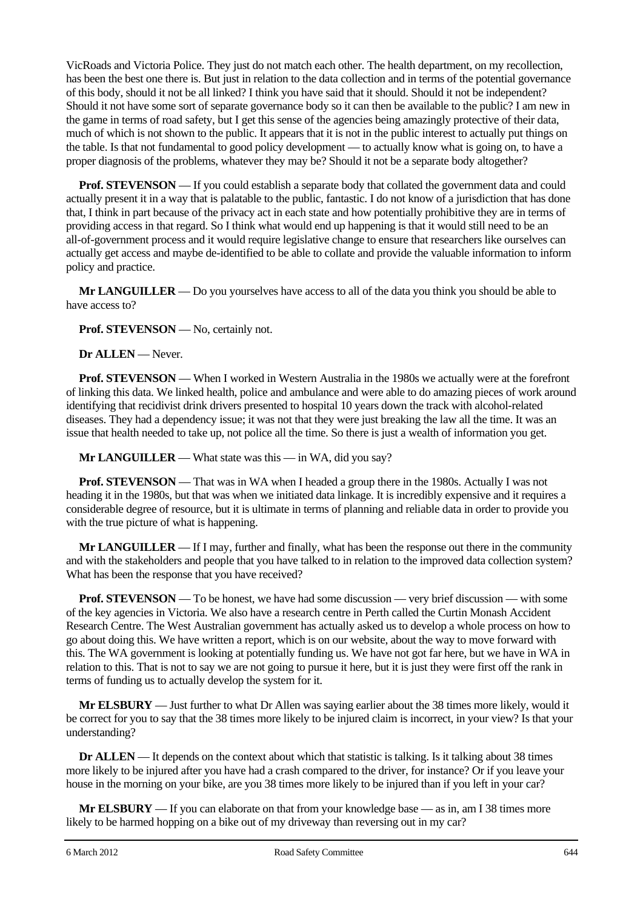VicRoads and Victoria Police. They just do not match each other. The health department, on my recollection, has been the best one there is. But just in relation to the data collection and in terms of the potential governance of this body, should it not be all linked? I think you have said that it should. Should it not be independent? Should it not have some sort of separate governance body so it can then be available to the public? I am new in the game in terms of road safety, but I get this sense of the agencies being amazingly protective of their data, much of which is not shown to the public. It appears that it is not in the public interest to actually put things on the table. Is that not fundamental to good policy development — to actually know what is going on, to have a proper diagnosis of the problems, whatever they may be? Should it not be a separate body altogether?

**Prof. STEVENSON** — If you could establish a separate body that collated the government data and could actually present it in a way that is palatable to the public, fantastic. I do not know of a jurisdiction that has done that, I think in part because of the privacy act in each state and how potentially prohibitive they are in terms of providing access in that regard. So I think what would end up happening is that it would still need to be an all-of-government process and it would require legislative change to ensure that researchers like ourselves can actually get access and maybe de-identified to be able to collate and provide the valuable information to inform policy and practice.

**Mr LANGUILLER** — Do you yourselves have access to all of the data you think you should be able to have access to?

**Prof. STEVENSON** — No, certainly not.

**Dr ALLEN** — Never.

**Prof. STEVENSON** — When I worked in Western Australia in the 1980s we actually were at the forefront of linking this data. We linked health, police and ambulance and were able to do amazing pieces of work around identifying that recidivist drink drivers presented to hospital 10 years down the track with alcohol-related diseases. They had a dependency issue; it was not that they were just breaking the law all the time. It was an issue that health needed to take up, not police all the time. So there is just a wealth of information you get.

**Mr LANGUILLER** — What state was this — in WA, did you say?

**Prof. STEVENSON** — That was in WA when I headed a group there in the 1980s. Actually I was not heading it in the 1980s, but that was when we initiated data linkage. It is incredibly expensive and it requires a considerable degree of resource, but it is ultimate in terms of planning and reliable data in order to provide you with the true picture of what is happening.

**Mr LANGUILLER** — If I may, further and finally, what has been the response out there in the community and with the stakeholders and people that you have talked to in relation to the improved data collection system? What has been the response that you have received?

**Prof. STEVENSON** — To be honest, we have had some discussion — very brief discussion — with some of the key agencies in Victoria. We also have a research centre in Perth called the Curtin Monash Accident Research Centre. The West Australian government has actually asked us to develop a whole process on how to go about doing this. We have written a report, which is on our website, about the way to move forward with this. The WA government is looking at potentially funding us. We have not got far here, but we have in WA in relation to this. That is not to say we are not going to pursue it here, but it is just they were first off the rank in terms of funding us to actually develop the system for it.

**Mr ELSBURY** — Just further to what Dr Allen was saying earlier about the 38 times more likely, would it be correct for you to say that the 38 times more likely to be injured claim is incorrect, in your view? Is that your understanding?

**Dr ALLEN** — It depends on the context about which that statistic is talking. Is it talking about 38 times more likely to be injured after you have had a crash compared to the driver, for instance? Or if you leave your house in the morning on your bike, are you 38 times more likely to be injured than if you left in your car?

**Mr ELSBURY** — If you can elaborate on that from your knowledge base — as in, am I 38 times more likely to be harmed hopping on a bike out of my driveway than reversing out in my car?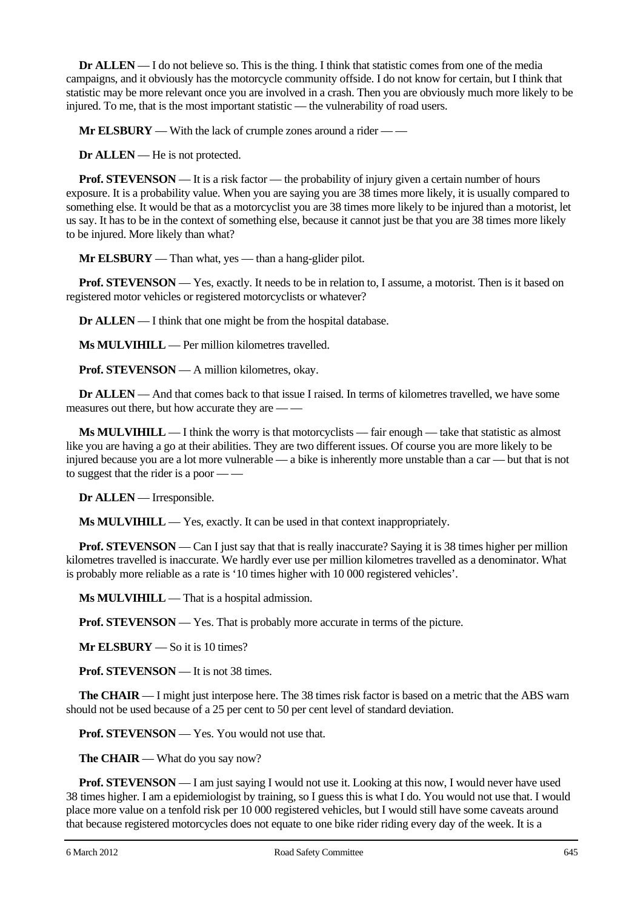**Dr ALLEN** — I do not believe so. This is the thing. I think that statistic comes from one of the media campaigns, and it obviously has the motorcycle community offside. I do not know for certain, but I think that statistic may be more relevant once you are involved in a crash. Then you are obviously much more likely to be injured. To me, that is the most important statistic — the vulnerability of road users.

**Mr ELSBURY** — With the lack of crumple zones around a rider — —

**Dr ALLEN** — He is not protected.

**Prof. STEVENSON** — It is a risk factor — the probability of injury given a certain number of hours exposure. It is a probability value. When you are saying you are 38 times more likely, it is usually compared to something else. It would be that as a motorcyclist you are 38 times more likely to be injured than a motorist, let us say. It has to be in the context of something else, because it cannot just be that you are 38 times more likely to be injured. More likely than what?

**Mr ELSBURY** — Than what, yes — than a hang-glider pilot.

**Prof. STEVENSON** — Yes, exactly. It needs to be in relation to, I assume, a motorist. Then is it based on registered motor vehicles or registered motorcyclists or whatever?

**Dr ALLEN** — I think that one might be from the hospital database.

**Ms MULVIHILL** — Per million kilometres travelled.

**Prof. STEVENSON** — A million kilometres, okay.

**Dr ALLEN** — And that comes back to that issue I raised. In terms of kilometres travelled, we have some measures out there, but how accurate they are — —

**Ms MULVIHILL** — I think the worry is that motorcyclists — fair enough — take that statistic as almost like you are having a go at their abilities. They are two different issues. Of course you are more likely to be injured because you are a lot more vulnerable — a bike is inherently more unstable than a car — but that is not to suggest that the rider is a poor — —

**Dr ALLEN** — Irresponsible.

**Ms MULVIHILL** — Yes, exactly. It can be used in that context inappropriately.

**Prof. STEVENSON** — Can I just say that that is really inaccurate? Saying it is 38 times higher per million kilometres travelled is inaccurate. We hardly ever use per million kilometres travelled as a denominator. What is probably more reliable as a rate is '10 times higher with 10 000 registered vehicles'.

**Ms MULVIHILL** — That is a hospital admission.

**Prof. STEVENSON** — Yes. That is probably more accurate in terms of the picture.

**Mr ELSBURY** — So it is 10 times?

**Prof. STEVENSON** — It is not 38 times.

**The CHAIR** — I might just interpose here. The 38 times risk factor is based on a metric that the ABS warn should not be used because of a 25 per cent to 50 per cent level of standard deviation.

**Prof. STEVENSON** — Yes. You would not use that.

**The CHAIR** — What do you say now?

**Prof. STEVENSON** — I am just saying I would not use it. Looking at this now, I would never have used 38 times higher. I am a epidemiologist by training, so I guess this is what I do. You would not use that. I would place more value on a tenfold risk per 10 000 registered vehicles, but I would still have some caveats around that because registered motorcycles does not equate to one bike rider riding every day of the week. It is a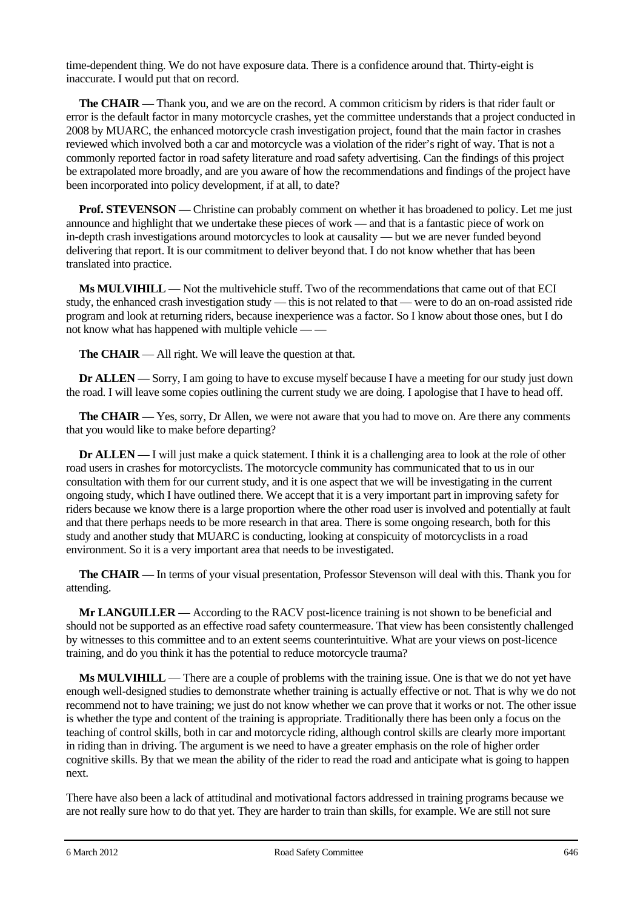time-dependent thing. We do not have exposure data. There is a confidence around that. Thirty-eight is inaccurate. I would put that on record.

**The CHAIR** — Thank you, and we are on the record. A common criticism by riders is that rider fault or error is the default factor in many motorcycle crashes, yet the committee understands that a project conducted in 2008 by MUARC, the enhanced motorcycle crash investigation project, found that the main factor in crashes reviewed which involved both a car and motorcycle was a violation of the rider's right of way. That is not a commonly reported factor in road safety literature and road safety advertising. Can the findings of this project be extrapolated more broadly, and are you aware of how the recommendations and findings of the project have been incorporated into policy development, if at all, to date?

**Prof. STEVENSON** — Christine can probably comment on whether it has broadened to policy. Let me just announce and highlight that we undertake these pieces of work — and that is a fantastic piece of work on in-depth crash investigations around motorcycles to look at causality — but we are never funded beyond delivering that report. It is our commitment to deliver beyond that. I do not know whether that has been translated into practice.

**Ms MULVIHILL** — Not the multivehicle stuff. Two of the recommendations that came out of that ECI study, the enhanced crash investigation study — this is not related to that — were to do an on-road assisted ride program and look at returning riders, because inexperience was a factor. So I know about those ones, but I do not know what has happened with multiple vehicle — —

**The CHAIR** — All right. We will leave the question at that.

**Dr ALLEN** — Sorry, I am going to have to excuse myself because I have a meeting for our study just down the road. I will leave some copies outlining the current study we are doing. I apologise that I have to head off.

**The CHAIR** — Yes, sorry, Dr Allen, we were not aware that you had to move on. Are there any comments that you would like to make before departing?

**Dr ALLEN** — I will just make a quick statement. I think it is a challenging area to look at the role of other road users in crashes for motorcyclists. The motorcycle community has communicated that to us in our consultation with them for our current study, and it is one aspect that we will be investigating in the current ongoing study, which I have outlined there. We accept that it is a very important part in improving safety for riders because we know there is a large proportion where the other road user is involved and potentially at fault and that there perhaps needs to be more research in that area. There is some ongoing research, both for this study and another study that MUARC is conducting, looking at conspicuity of motorcyclists in a road environment. So it is a very important area that needs to be investigated.

**The CHAIR** — In terms of your visual presentation, Professor Stevenson will deal with this. Thank you for attending.

**Mr LANGUILLER** — According to the RACV post-licence training is not shown to be beneficial and should not be supported as an effective road safety countermeasure. That view has been consistently challenged by witnesses to this committee and to an extent seems counterintuitive. What are your views on post-licence training, and do you think it has the potential to reduce motorcycle trauma?

**Ms MULVIHILL** — There are a couple of problems with the training issue. One is that we do not yet have enough well-designed studies to demonstrate whether training is actually effective or not. That is why we do not recommend not to have training; we just do not know whether we can prove that it works or not. The other issue is whether the type and content of the training is appropriate. Traditionally there has been only a focus on the teaching of control skills, both in car and motorcycle riding, although control skills are clearly more important in riding than in driving. The argument is we need to have a greater emphasis on the role of higher order cognitive skills. By that we mean the ability of the rider to read the road and anticipate what is going to happen next.

There have also been a lack of attitudinal and motivational factors addressed in training programs because we are not really sure how to do that yet. They are harder to train than skills, for example. We are still not sure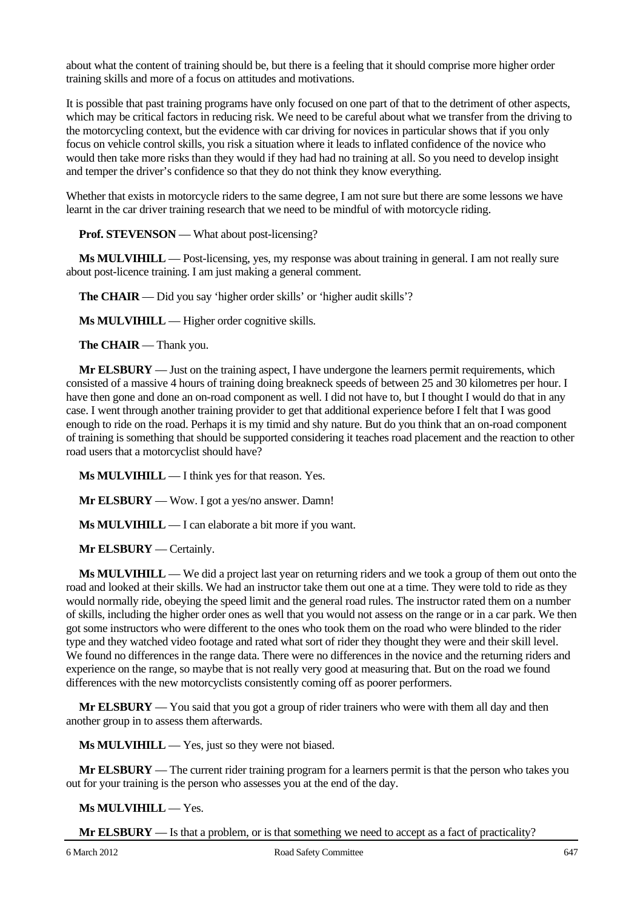about what the content of training should be, but there is a feeling that it should comprise more higher order training skills and more of a focus on attitudes and motivations.

It is possible that past training programs have only focused on one part of that to the detriment of other aspects, which may be critical factors in reducing risk. We need to be careful about what we transfer from the driving to the motorcycling context, but the evidence with car driving for novices in particular shows that if you only focus on vehicle control skills, you risk a situation where it leads to inflated confidence of the novice who would then take more risks than they would if they had had no training at all. So you need to develop insight and temper the driver's confidence so that they do not think they know everything.

Whether that exists in motorcycle riders to the same degree, I am not sure but there are some lessons we have learnt in the car driver training research that we need to be mindful of with motorcycle riding.

**Prof. STEVENSON** — What about post-licensing?

**Ms MULVIHILL** — Post-licensing, yes, my response was about training in general. I am not really sure about post-licence training. I am just making a general comment.

**The CHAIR** — Did you say 'higher order skills' or 'higher audit skills'?

**Ms MULVIHILL** — Higher order cognitive skills.

**The CHAIR** — Thank you.

**Mr ELSBURY** — Just on the training aspect, I have undergone the learners permit requirements, which consisted of a massive 4 hours of training doing breakneck speeds of between 25 and 30 kilometres per hour. I have then gone and done an on-road component as well. I did not have to, but I thought I would do that in any case. I went through another training provider to get that additional experience before I felt that I was good enough to ride on the road. Perhaps it is my timid and shy nature. But do you think that an on-road component of training is something that should be supported considering it teaches road placement and the reaction to other road users that a motorcyclist should have?

**Ms MULVIHILL** — I think yes for that reason. Yes.

**Mr ELSBURY** — Wow. I got a yes/no answer. Damn!

**Ms MULVIHILL** — I can elaborate a bit more if you want.

**Mr ELSBURY** — Certainly.

**Ms MULVIHILL** — We did a project last year on returning riders and we took a group of them out onto the road and looked at their skills. We had an instructor take them out one at a time. They were told to ride as they would normally ride, obeying the speed limit and the general road rules. The instructor rated them on a number of skills, including the higher order ones as well that you would not assess on the range or in a car park. We then got some instructors who were different to the ones who took them on the road who were blinded to the rider type and they watched video footage and rated what sort of rider they thought they were and their skill level. We found no differences in the range data. There were no differences in the novice and the returning riders and experience on the range, so maybe that is not really very good at measuring that. But on the road we found differences with the new motorcyclists consistently coming off as poorer performers.

**Mr ELSBURY** — You said that you got a group of rider trainers who were with them all day and then another group in to assess them afterwards.

**Ms MULVIHILL** — Yes, just so they were not biased.

**Mr ELSBURY** — The current rider training program for a learners permit is that the person who takes you out for your training is the person who assesses you at the end of the day.

**Ms MULVIHILL** — Yes.

**Mr ELSBURY** — Is that a problem, or is that something we need to accept as a fact of practicality?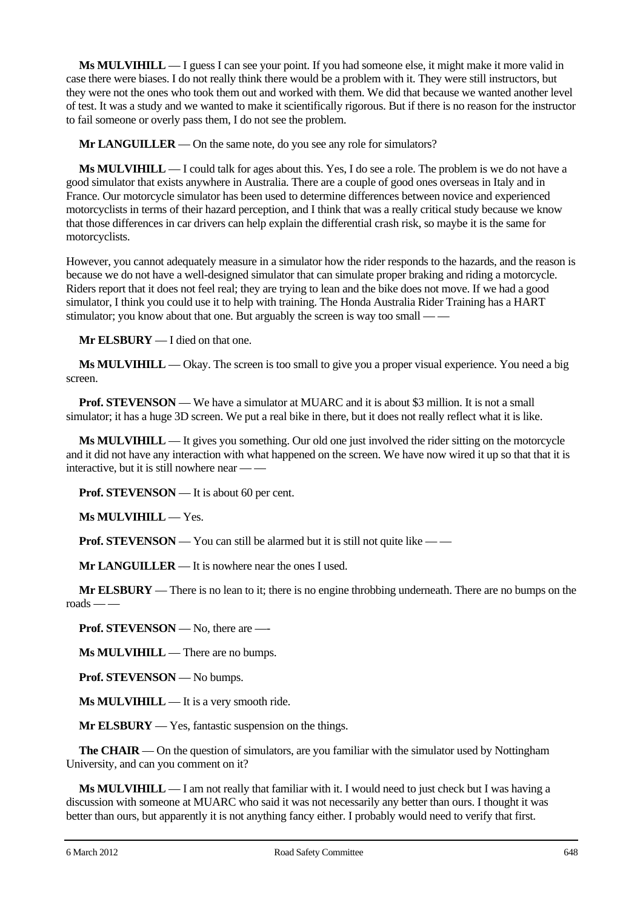**Ms MULVIHILL** — I guess I can see your point. If you had someone else, it might make it more valid in case there were biases. I do not really think there would be a problem with it. They were still instructors, but they were not the ones who took them out and worked with them. We did that because we wanted another level of test. It was a study and we wanted to make it scientifically rigorous. But if there is no reason for the instructor to fail someone or overly pass them, I do not see the problem.

**Mr LANGUILLER** — On the same note, do you see any role for simulators?

**Ms MULVIHILL** — I could talk for ages about this. Yes, I do see a role. The problem is we do not have a good simulator that exists anywhere in Australia. There are a couple of good ones overseas in Italy and in France. Our motorcycle simulator has been used to determine differences between novice and experienced motorcyclists in terms of their hazard perception, and I think that was a really critical study because we know that those differences in car drivers can help explain the differential crash risk, so maybe it is the same for motorcyclists.

However, you cannot adequately measure in a simulator how the rider responds to the hazards, and the reason is because we do not have a well-designed simulator that can simulate proper braking and riding a motorcycle. Riders report that it does not feel real; they are trying to lean and the bike does not move. If we had a good simulator, I think you could use it to help with training. The Honda Australia Rider Training has a HART stimulator; you know about that one. But arguably the screen is way too small — —

**Mr ELSBURY** — I died on that one.

**Ms MULVIHILL** — Okay. The screen is too small to give you a proper visual experience. You need a big screen.

**Prof. STEVENSON** — We have a simulator at MUARC and it is about \$3 million. It is not a small simulator; it has a huge 3D screen. We put a real bike in there, but it does not really reflect what it is like.

**Ms MULVIHILL** — It gives you something. Our old one just involved the rider sitting on the motorcycle and it did not have any interaction with what happened on the screen. We have now wired it up so that that it is interactive, but it is still nowhere near -

**Prof. STEVENSON** — It is about 60 per cent.

**Ms MULVIHILL** — Yes.

**Prof. STEVENSON** — You can still be alarmed but it is still not quite like — —

**Mr LANGUILLER** — It is nowhere near the ones I used.

**Mr ELSBURY** — There is no lean to it; there is no engine throbbing underneath. There are no bumps on the  $\text{roads} \rightarrow$ 

**Prof. STEVENSON** — No, there are —-

**Ms MULVIHILL** — There are no bumps.

**Prof. STEVENSON** — No bumps.

**Ms MULVIHILL** — It is a very smooth ride.

**Mr ELSBURY** — Yes, fantastic suspension on the things.

**The CHAIR** — On the question of simulators, are you familiar with the simulator used by Nottingham University, and can you comment on it?

**Ms MULVIHILL** — I am not really that familiar with it. I would need to just check but I was having a discussion with someone at MUARC who said it was not necessarily any better than ours. I thought it was better than ours, but apparently it is not anything fancy either. I probably would need to verify that first.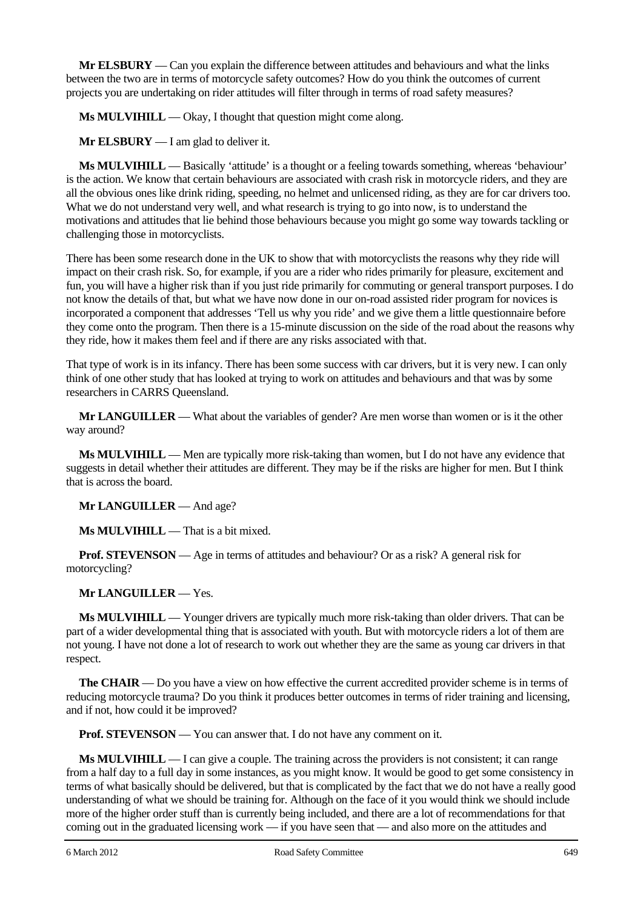**Mr ELSBURY** — Can you explain the difference between attitudes and behaviours and what the links between the two are in terms of motorcycle safety outcomes? How do you think the outcomes of current projects you are undertaking on rider attitudes will filter through in terms of road safety measures?

**Ms MULVIHILL** — Okay, I thought that question might come along.

**Mr ELSBURY** — I am glad to deliver it.

**Ms MULVIHILL** — Basically 'attitude' is a thought or a feeling towards something, whereas 'behaviour' is the action. We know that certain behaviours are associated with crash risk in motorcycle riders, and they are all the obvious ones like drink riding, speeding, no helmet and unlicensed riding, as they are for car drivers too. What we do not understand very well, and what research is trying to go into now, is to understand the motivations and attitudes that lie behind those behaviours because you might go some way towards tackling or challenging those in motorcyclists.

There has been some research done in the UK to show that with motorcyclists the reasons why they ride will impact on their crash risk. So, for example, if you are a rider who rides primarily for pleasure, excitement and fun, you will have a higher risk than if you just ride primarily for commuting or general transport purposes. I do not know the details of that, but what we have now done in our on-road assisted rider program for novices is incorporated a component that addresses 'Tell us why you ride' and we give them a little questionnaire before they come onto the program. Then there is a 15-minute discussion on the side of the road about the reasons why they ride, how it makes them feel and if there are any risks associated with that.

That type of work is in its infancy. There has been some success with car drivers, but it is very new. I can only think of one other study that has looked at trying to work on attitudes and behaviours and that was by some researchers in CARRS Queensland.

**Mr LANGUILLER** — What about the variables of gender? Are men worse than women or is it the other way around?

**Ms MULVIHILL** — Men are typically more risk-taking than women, but I do not have any evidence that suggests in detail whether their attitudes are different. They may be if the risks are higher for men. But I think that is across the board.

**Mr LANGUILLER** — And age?

**Ms MULVIHILL** — That is a bit mixed.

**Prof. STEVENSON** — Age in terms of attitudes and behaviour? Or as a risk? A general risk for motorcycling?

**Mr LANGUILLER** — Yes.

**Ms MULVIHILL** — Younger drivers are typically much more risk-taking than older drivers. That can be part of a wider developmental thing that is associated with youth. But with motorcycle riders a lot of them are not young. I have not done a lot of research to work out whether they are the same as young car drivers in that respect.

**The CHAIR** — Do you have a view on how effective the current accredited provider scheme is in terms of reducing motorcycle trauma? Do you think it produces better outcomes in terms of rider training and licensing, and if not, how could it be improved?

**Prof. STEVENSON** — You can answer that. I do not have any comment on it.

**Ms MULVIHILL** — I can give a couple. The training across the providers is not consistent; it can range from a half day to a full day in some instances, as you might know. It would be good to get some consistency in terms of what basically should be delivered, but that is complicated by the fact that we do not have a really good understanding of what we should be training for. Although on the face of it you would think we should include more of the higher order stuff than is currently being included, and there are a lot of recommendations for that coming out in the graduated licensing work — if you have seen that — and also more on the attitudes and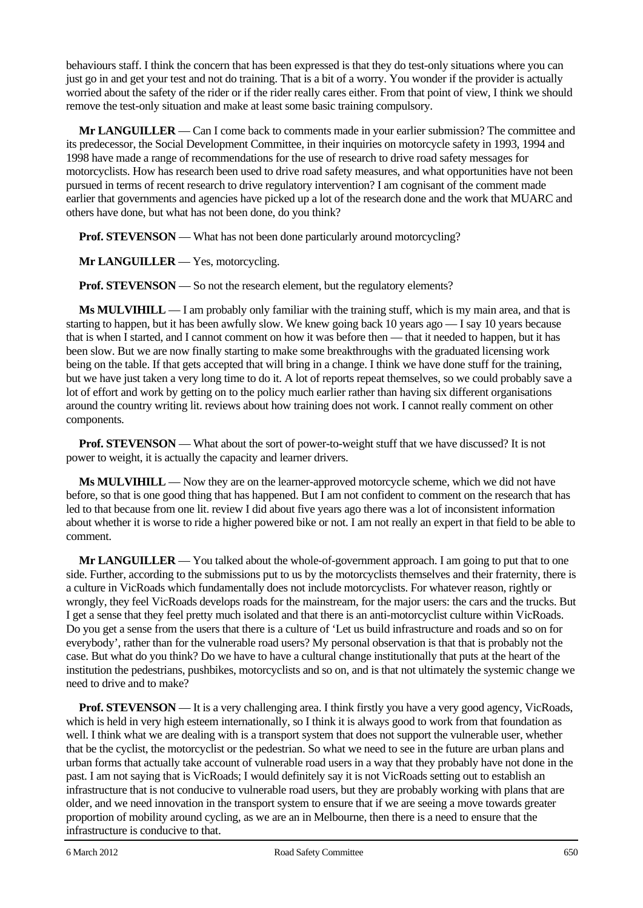behaviours staff. I think the concern that has been expressed is that they do test-only situations where you can just go in and get your test and not do training. That is a bit of a worry. You wonder if the provider is actually worried about the safety of the rider or if the rider really cares either. From that point of view, I think we should remove the test-only situation and make at least some basic training compulsory.

**Mr LANGUILLER** — Can I come back to comments made in your earlier submission? The committee and its predecessor, the Social Development Committee, in their inquiries on motorcycle safety in 1993, 1994 and 1998 have made a range of recommendations for the use of research to drive road safety messages for motorcyclists. How has research been used to drive road safety measures, and what opportunities have not been pursued in terms of recent research to drive regulatory intervention? I am cognisant of the comment made earlier that governments and agencies have picked up a lot of the research done and the work that MUARC and others have done, but what has not been done, do you think?

**Prof. STEVENSON** — What has not been done particularly around motorcycling?

**Mr LANGUILLER** — Yes, motorcycling.

**Prof. STEVENSON** — So not the research element, but the regulatory elements?

**Ms MULVIHILL** — I am probably only familiar with the training stuff, which is my main area, and that is starting to happen, but it has been awfully slow. We knew going back 10 years ago — I say 10 years because that is when I started, and I cannot comment on how it was before then — that it needed to happen, but it has been slow. But we are now finally starting to make some breakthroughs with the graduated licensing work being on the table. If that gets accepted that will bring in a change. I think we have done stuff for the training, but we have just taken a very long time to do it. A lot of reports repeat themselves, so we could probably save a lot of effort and work by getting on to the policy much earlier rather than having six different organisations around the country writing lit. reviews about how training does not work. I cannot really comment on other components.

**Prof. STEVENSON** — What about the sort of power-to-weight stuff that we have discussed? It is not power to weight, it is actually the capacity and learner drivers.

**Ms MULVIHILL** — Now they are on the learner-approved motorcycle scheme, which we did not have before, so that is one good thing that has happened. But I am not confident to comment on the research that has led to that because from one lit. review I did about five years ago there was a lot of inconsistent information about whether it is worse to ride a higher powered bike or not. I am not really an expert in that field to be able to comment.

**Mr LANGUILLER** — You talked about the whole-of-government approach. I am going to put that to one side. Further, according to the submissions put to us by the motorcyclists themselves and their fraternity, there is a culture in VicRoads which fundamentally does not include motorcyclists. For whatever reason, rightly or wrongly, they feel VicRoads develops roads for the mainstream, for the major users: the cars and the trucks. But I get a sense that they feel pretty much isolated and that there is an anti-motorcyclist culture within VicRoads. Do you get a sense from the users that there is a culture of 'Let us build infrastructure and roads and so on for everybody', rather than for the vulnerable road users? My personal observation is that that is probably not the case. But what do you think? Do we have to have a cultural change institutionally that puts at the heart of the institution the pedestrians, pushbikes, motorcyclists and so on, and is that not ultimately the systemic change we need to drive and to make?

**Prof. <b>STEVENSON** — It is a very challenging area. I think firstly you have a very good agency, VicRoads, which is held in very high esteem internationally, so I think it is always good to work from that foundation as well. I think what we are dealing with is a transport system that does not support the vulnerable user, whether that be the cyclist, the motorcyclist or the pedestrian. So what we need to see in the future are urban plans and urban forms that actually take account of vulnerable road users in a way that they probably have not done in the past. I am not saying that is VicRoads; I would definitely say it is not VicRoads setting out to establish an infrastructure that is not conducive to vulnerable road users, but they are probably working with plans that are older, and we need innovation in the transport system to ensure that if we are seeing a move towards greater proportion of mobility around cycling, as we are an in Melbourne, then there is a need to ensure that the infrastructure is conducive to that.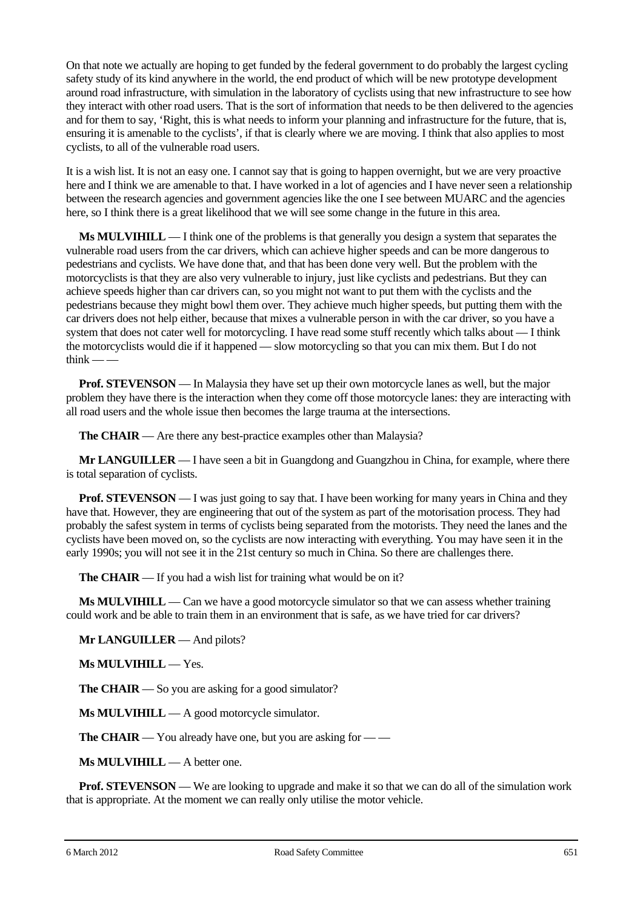On that note we actually are hoping to get funded by the federal government to do probably the largest cycling safety study of its kind anywhere in the world, the end product of which will be new prototype development around road infrastructure, with simulation in the laboratory of cyclists using that new infrastructure to see how they interact with other road users. That is the sort of information that needs to be then delivered to the agencies and for them to say, 'Right, this is what needs to inform your planning and infrastructure for the future, that is, ensuring it is amenable to the cyclists', if that is clearly where we are moving. I think that also applies to most cyclists, to all of the vulnerable road users.

It is a wish list. It is not an easy one. I cannot say that is going to happen overnight, but we are very proactive here and I think we are amenable to that. I have worked in a lot of agencies and I have never seen a relationship between the research agencies and government agencies like the one I see between MUARC and the agencies here, so I think there is a great likelihood that we will see some change in the future in this area.

**Ms MULVIHILL** — I think one of the problems is that generally you design a system that separates the vulnerable road users from the car drivers, which can achieve higher speeds and can be more dangerous to pedestrians and cyclists. We have done that, and that has been done very well. But the problem with the motorcyclists is that they are also very vulnerable to injury, just like cyclists and pedestrians. But they can achieve speeds higher than car drivers can, so you might not want to put them with the cyclists and the pedestrians because they might bowl them over. They achieve much higher speeds, but putting them with the car drivers does not help either, because that mixes a vulnerable person in with the car driver, so you have a system that does not cater well for motorcycling. I have read some stuff recently which talks about — I think the motorcyclists would die if it happened — slow motorcycling so that you can mix them. But I do not think  $-\frac{1}{2}$ 

**Prof. STEVENSON** — In Malaysia they have set up their own motorcycle lanes as well, but the major problem they have there is the interaction when they come off those motorcycle lanes: they are interacting with all road users and the whole issue then becomes the large trauma at the intersections.

**The CHAIR** — Are there any best-practice examples other than Malaysia?

**Mr LANGUILLER** — I have seen a bit in Guangdong and Guangzhou in China, for example, where there is total separation of cyclists.

**Prof. STEVENSON** — I was just going to say that. I have been working for many years in China and they have that. However, they are engineering that out of the system as part of the motorisation process. They had probably the safest system in terms of cyclists being separated from the motorists. They need the lanes and the cyclists have been moved on, so the cyclists are now interacting with everything. You may have seen it in the early 1990s; you will not see it in the 21st century so much in China. So there are challenges there.

**The CHAIR** — If you had a wish list for training what would be on it?

**Ms MULVIHILL** — Can we have a good motorcycle simulator so that we can assess whether training could work and be able to train them in an environment that is safe, as we have tried for car drivers?

**Mr LANGUILLER** — And pilots?

**Ms MULVIHILL** — Yes.

**The CHAIR** — So you are asking for a good simulator?

**Ms MULVIHILL** — A good motorcycle simulator.

**The CHAIR** — You already have one, but you are asking for — —

**Ms MULVIHILL** — A better one.

**Prof. STEVENSON** — We are looking to upgrade and make it so that we can do all of the simulation work that is appropriate. At the moment we can really only utilise the motor vehicle.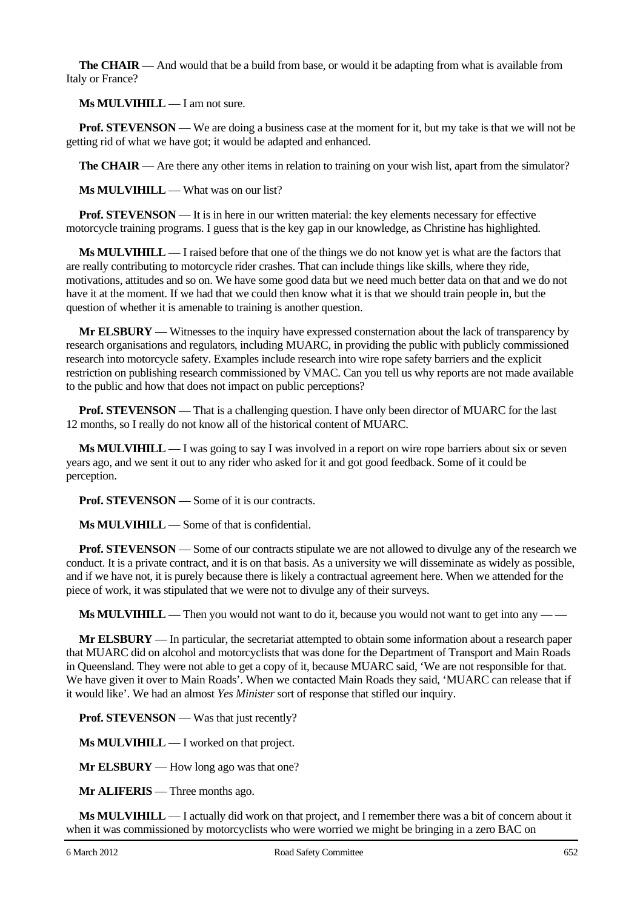**The CHAIR** — And would that be a build from base, or would it be adapting from what is available from Italy or France?

**Ms MULVIHILL** — I am not sure.

**Prof. STEVENSON** — We are doing a business case at the moment for it, but my take is that we will not be getting rid of what we have got; it would be adapted and enhanced.

**The CHAIR** — Are there any other items in relation to training on your wish list, apart from the simulator?

**Ms MULVIHILL** — What was on our list?

**Prof. STEVENSON** — It is in here in our written material: the key elements necessary for effective motorcycle training programs. I guess that is the key gap in our knowledge, as Christine has highlighted.

**Ms MULVIHILL** — I raised before that one of the things we do not know yet is what are the factors that are really contributing to motorcycle rider crashes. That can include things like skills, where they ride, motivations, attitudes and so on. We have some good data but we need much better data on that and we do not have it at the moment. If we had that we could then know what it is that we should train people in, but the question of whether it is amenable to training is another question.

**Mr ELSBURY** — Witnesses to the inquiry have expressed consternation about the lack of transparency by research organisations and regulators, including MUARC, in providing the public with publicly commissioned research into motorcycle safety. Examples include research into wire rope safety barriers and the explicit restriction on publishing research commissioned by VMAC. Can you tell us why reports are not made available to the public and how that does not impact on public perceptions?

**Prof. STEVENSON** — That is a challenging question. I have only been director of MUARC for the last 12 months, so I really do not know all of the historical content of MUARC.

**Ms MULVIHILL** — I was going to say I was involved in a report on wire rope barriers about six or seven years ago, and we sent it out to any rider who asked for it and got good feedback. Some of it could be perception.

**Prof. STEVENSON** — Some of it is our contracts.

**Ms MULVIHILL** — Some of that is confidential.

**Prof. STEVENSON** — Some of our contracts stipulate we are not allowed to divulge any of the research we conduct. It is a private contract, and it is on that basis. As a university we will disseminate as widely as possible, and if we have not, it is purely because there is likely a contractual agreement here. When we attended for the piece of work, it was stipulated that we were not to divulge any of their surveys.

**Ms MULVIHILL** — Then you would not want to do it, because you would not want to get into any — —

**Mr ELSBURY** — In particular, the secretariat attempted to obtain some information about a research paper that MUARC did on alcohol and motorcyclists that was done for the Department of Transport and Main Roads in Queensland. They were not able to get a copy of it, because MUARC said, 'We are not responsible for that. We have given it over to Main Roads'. When we contacted Main Roads they said, 'MUARC can release that if it would like'. We had an almost *Yes Minister* sort of response that stifled our inquiry.

**Prof. STEVENSON** — Was that just recently?

**Ms MULVIHILL** — I worked on that project.

**Mr ELSBURY** — How long ago was that one?

**Mr ALIFERIS** — Three months ago.

**Ms MULVIHILL** — I actually did work on that project, and I remember there was a bit of concern about it when it was commissioned by motorcyclists who were worried we might be bringing in a zero BAC on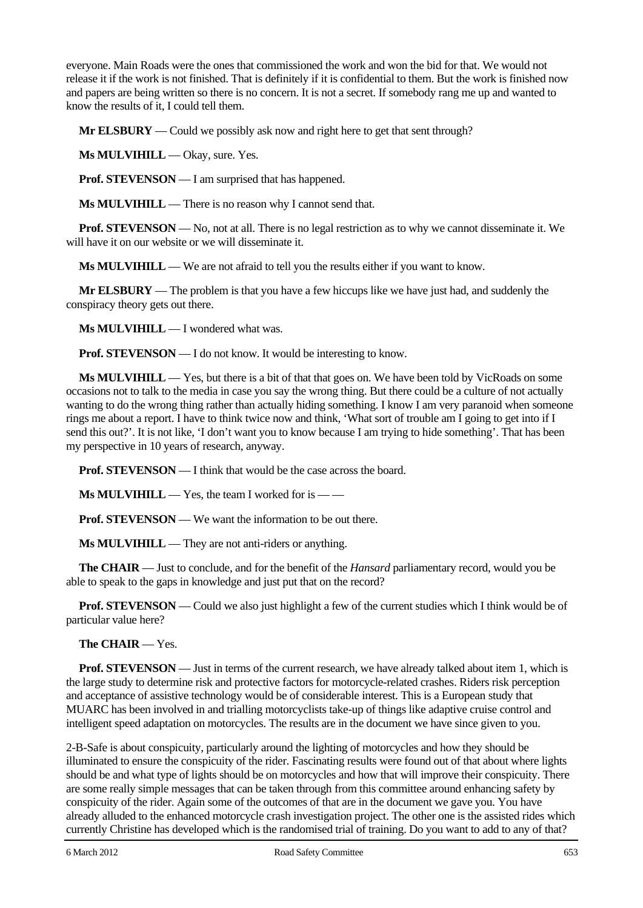everyone. Main Roads were the ones that commissioned the work and won the bid for that. We would not release it if the work is not finished. That is definitely if it is confidential to them. But the work is finished now and papers are being written so there is no concern. It is not a secret. If somebody rang me up and wanted to know the results of it, I could tell them.

**Mr ELSBURY** — Could we possibly ask now and right here to get that sent through?

**Ms MULVIHILL** — Okay, sure. Yes.

**Prof. STEVENSON** — I am surprised that has happened.

**Ms MULVIHILL** — There is no reason why I cannot send that.

**Prof. STEVENSON** — No, not at all. There is no legal restriction as to why we cannot disseminate it. We will have it on our website or we will disseminate it.

**Ms MULVIHILL** — We are not afraid to tell you the results either if you want to know.

**Mr ELSBURY** — The problem is that you have a few hiccups like we have just had, and suddenly the conspiracy theory gets out there.

**Ms MULVIHILL** — I wondered what was.

**Prof. STEVENSON** — I do not know. It would be interesting to know.

**Ms MULVIHILL** — Yes, but there is a bit of that that goes on. We have been told by VicRoads on some occasions not to talk to the media in case you say the wrong thing. But there could be a culture of not actually wanting to do the wrong thing rather than actually hiding something. I know I am very paranoid when someone rings me about a report. I have to think twice now and think, 'What sort of trouble am I going to get into if I send this out?'. It is not like, 'I don't want you to know because I am trying to hide something'. That has been my perspective in 10 years of research, anyway.

**Prof. STEVENSON** — I think that would be the case across the board.

**Ms MULVIHILL** — Yes, the team I worked for is — —

**Prof. STEVENSON** — We want the information to be out there.

**Ms MULVIHILL** — They are not anti-riders or anything.

**The CHAIR** — Just to conclude, and for the benefit of the *Hansard* parliamentary record, would you be able to speak to the gaps in knowledge and just put that on the record?

**Prof. STEVENSON** — Could we also just highlight a few of the current studies which I think would be of particular value here?

#### **The CHAIR** — Yes.

**Prof. STEVENSON** — Just in terms of the current research, we have already talked about item 1, which is the large study to determine risk and protective factors for motorcycle-related crashes. Riders risk perception and acceptance of assistive technology would be of considerable interest. This is a European study that MUARC has been involved in and trialling motorcyclists take-up of things like adaptive cruise control and intelligent speed adaptation on motorcycles. The results are in the document we have since given to you.

2-B-Safe is about conspicuity, particularly around the lighting of motorcycles and how they should be illuminated to ensure the conspicuity of the rider. Fascinating results were found out of that about where lights should be and what type of lights should be on motorcycles and how that will improve their conspicuity. There are some really simple messages that can be taken through from this committee around enhancing safety by conspicuity of the rider. Again some of the outcomes of that are in the document we gave you. You have already alluded to the enhanced motorcycle crash investigation project. The other one is the assisted rides which currently Christine has developed which is the randomised trial of training. Do you want to add to any of that?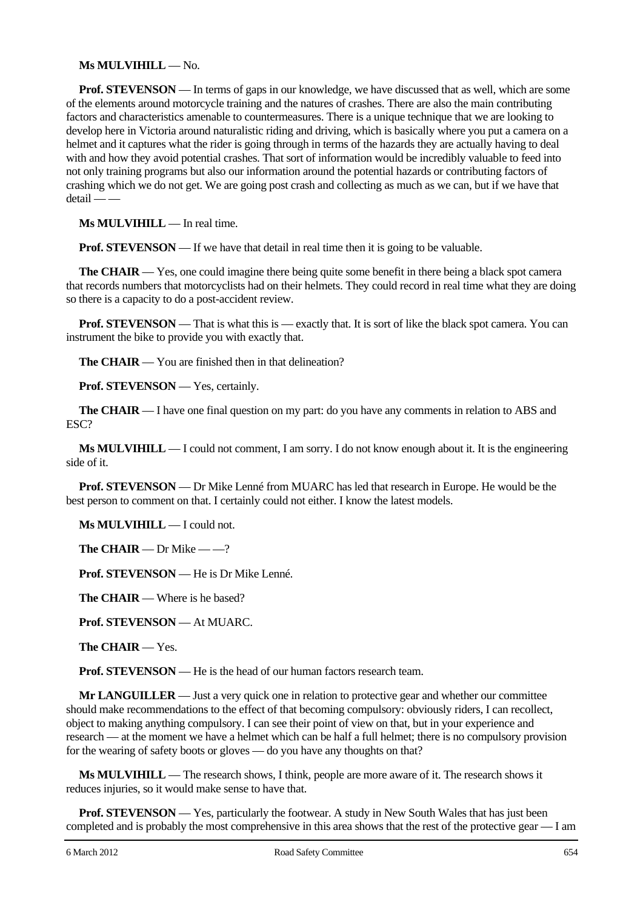#### **Ms MULVIHILL** — No.

**Prof. STEVENSON** — In terms of gaps in our knowledge, we have discussed that as well, which are some of the elements around motorcycle training and the natures of crashes. There are also the main contributing factors and characteristics amenable to countermeasures. There is a unique technique that we are looking to develop here in Victoria around naturalistic riding and driving, which is basically where you put a camera on a helmet and it captures what the rider is going through in terms of the hazards they are actually having to deal with and how they avoid potential crashes. That sort of information would be incredibly valuable to feed into not only training programs but also our information around the potential hazards or contributing factors of crashing which we do not get. We are going post crash and collecting as much as we can, but if we have that detail — —

**Ms MULVIHILL** — In real time.

**Prof. STEVENSON** — If we have that detail in real time then it is going to be valuable.

**The CHAIR** — Yes, one could imagine there being quite some benefit in there being a black spot camera that records numbers that motorcyclists had on their helmets. They could record in real time what they are doing so there is a capacity to do a post-accident review.

**Prof. STEVENSON** — That is what this is — exactly that. It is sort of like the black spot camera. You can instrument the bike to provide you with exactly that.

**The CHAIR** — You are finished then in that delineation?

**Prof. STEVENSON** — Yes, certainly.

**The CHAIR** — I have one final question on my part: do you have any comments in relation to ABS and ESC?

**Ms MULVIHILL** — I could not comment, I am sorry. I do not know enough about it. It is the engineering side of it.

**Prof. STEVENSON** — Dr Mike Lenné from MUARC has led that research in Europe. He would be the best person to comment on that. I certainly could not either. I know the latest models.

**Ms MULVIHILL** — I could not.

**The CHAIR** — Dr Mike — —?

**Prof. STEVENSON** — He is Dr Mike Lenné.

**The CHAIR** — Where is he based?

**Prof. STEVENSON** — At MUARC.

**The CHAIR** — Yes.

**Prof. STEVENSON** — He is the head of our human factors research team.

**Mr LANGUILLER** — Just a very quick one in relation to protective gear and whether our committee should make recommendations to the effect of that becoming compulsory: obviously riders, I can recollect, object to making anything compulsory. I can see their point of view on that, but in your experience and research — at the moment we have a helmet which can be half a full helmet; there is no compulsory provision for the wearing of safety boots or gloves — do you have any thoughts on that?

**Ms MULVIHILL** — The research shows, I think, people are more aware of it. The research shows it reduces injuries, so it would make sense to have that.

**Prof. STEVENSON** — Yes, particularly the footwear. A study in New South Wales that has just been completed and is probably the most comprehensive in this area shows that the rest of the protective gear — I am